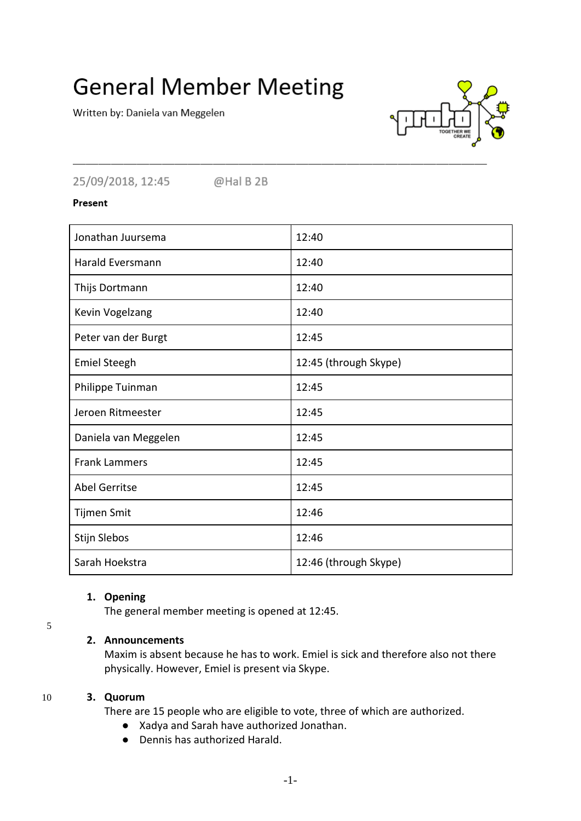# **General Member Meeting**

Written by: Daniela van Meggelen



25/09/2018, 12:45 @Hal B 2B

Present

| Jonathan Juursema       | 12:40                 |
|-------------------------|-----------------------|
| <b>Harald Eversmann</b> | 12:40                 |
| Thijs Dortmann          | 12:40                 |
| Kevin Vogelzang         | 12:40                 |
| Peter van der Burgt     | 12:45                 |
| <b>Emiel Steegh</b>     | 12:45 (through Skype) |
| Philippe Tuinman        | 12:45                 |
| Jeroen Ritmeester       | 12:45                 |
| Daniela van Meggelen    | 12:45                 |
| <b>Frank Lammers</b>    | 12:45                 |
| <b>Abel Gerritse</b>    | 12:45                 |
| Tijmen Smit             | 12:46                 |
| Stijn Slebos            | 12:46                 |
| Sarah Hoekstra          | 12:46 (through Skype) |

# **1. Opening**

The general member meeting is opened at 12:45.

# **2. Announcements**

Maxim is absent because he has to work. Emiel is sick and therefore also not there physically. However, Emiel is present via Skype.

# 10 **3. Quorum**

5

There are 15 people who are eligible to vote, three of which are authorized.

- Xadya and Sarah have authorized Jonathan.
- Dennis has authorized Harald.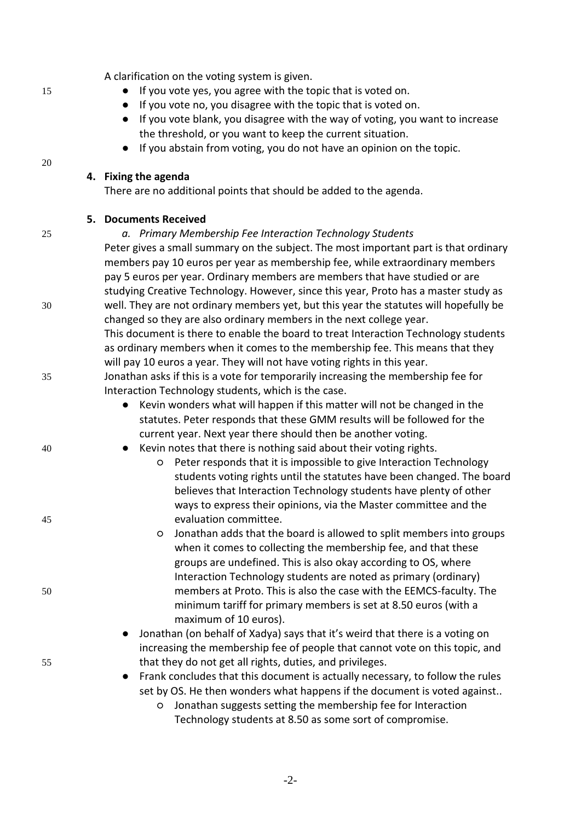A clarification on the voting system is given.

- 15 **•** If you vote yes, you agree with the topic that is voted on.
	- If you vote no, you disagree with the topic that is voted on.
	- If you vote blank, you disagree with the way of voting, you want to increase the threshold, or you want to keep the current situation.
	- If you abstain from voting, you do not have an opinion on the topic.

#### **4. Fixing the agenda**

There are no additional points that should be added to the agenda.

# **5. Documents Received**

# 25 *a. Primary Membership Fee Interaction Technology Students*

Peter gives a small summary on the subject. The most important part is that ordinary members pay 10 euros per year as membership fee, while extraordinary members pay 5 euros per year. Ordinary members are members that have studied or are studying Creative Technology. However, since this year, Proto has a master study as 30 well. They are not ordinary members yet, but this year the statutes will hopefully be changed so they are also ordinary members in the next college year.

This document is there to enable the board to treat Interaction Technology students as ordinary members when it comes to the membership fee. This means that they will pay 10 euros a year. They will not have voting rights in this year.

35 Jonathan asks if this is a vote for temporarily increasing the membership fee for Interaction Technology students, which is the case.

- Kevin wonders what will happen if this matter will not be changed in the statutes. Peter responds that these GMM results will be followed for the current year. Next year there should then be another voting.
- 40 Kevin notes that there is nothing said about their voting rights.
- Peter responds that it is impossible to give Interaction Technology students voting rights until the statutes have been changed. The board believes that Interaction Technology students have plenty of other ways to express their opinions, via the Master committee and the 45 evaluation committee.
- Jonathan adds that the board is allowed to split members into groups when it comes to collecting the membership fee, and that these groups are undefined. This is also okay according to OS, where Interaction Technology students are noted as primary (ordinary) 50 members at Proto. This is also the case with the EEMCS-faculty. The minimum tariff for primary members is set at 8.50 euros (with a maximum of 10 euros).

● Jonathan (on behalf of Xadya) says that it's weird that there is a voting on increasing the membership fee of people that cannot vote on this topic, and 55 that they do not get all rights, duties, and privileges.

> Frank concludes that this document is actually necessary, to follow the rules set by OS. He then wonders what happens if the document is voted against..

○ Jonathan suggests setting the membership fee for Interaction Technology students at 8.50 as some sort of compromise.

20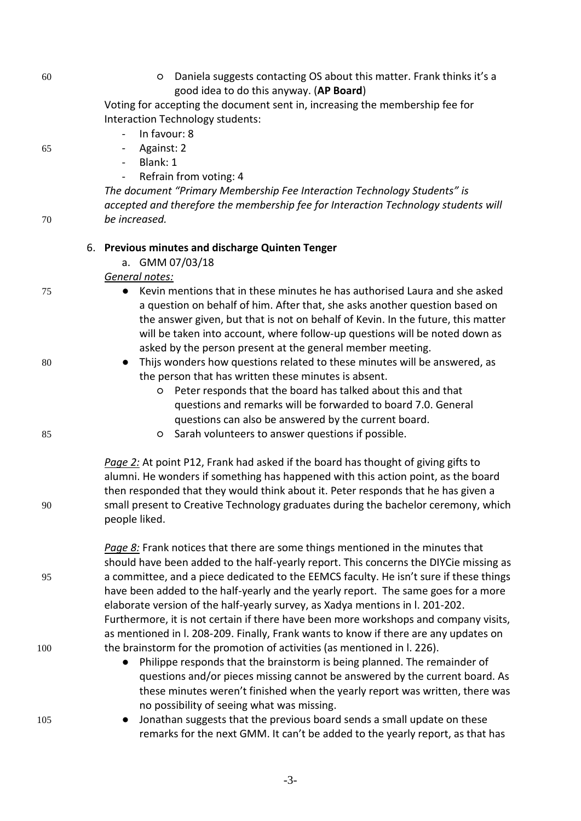| 60  |                                                  | Daniela suggests contacting OS about this matter. Frank thinks it's a<br>O<br>good idea to do this anyway. (AP Board)                                                                                                                                                                                                                                                                      |  |  |
|-----|--------------------------------------------------|--------------------------------------------------------------------------------------------------------------------------------------------------------------------------------------------------------------------------------------------------------------------------------------------------------------------------------------------------------------------------------------------|--|--|
|     |                                                  | Voting for accepting the document sent in, increasing the membership fee for<br>Interaction Technology students:                                                                                                                                                                                                                                                                           |  |  |
|     |                                                  | In favour: 8                                                                                                                                                                                                                                                                                                                                                                               |  |  |
| 65  |                                                  | Against: 2<br>$\overline{\phantom{0}}$                                                                                                                                                                                                                                                                                                                                                     |  |  |
|     |                                                  | Blank: 1<br>$\overline{\phantom{a}}$                                                                                                                                                                                                                                                                                                                                                       |  |  |
|     |                                                  | Refrain from voting: 4<br>$\blacksquare$                                                                                                                                                                                                                                                                                                                                                   |  |  |
|     |                                                  | The document "Primary Membership Fee Interaction Technology Students" is                                                                                                                                                                                                                                                                                                                   |  |  |
|     |                                                  | accepted and therefore the membership fee for Interaction Technology students will                                                                                                                                                                                                                                                                                                         |  |  |
| 70  |                                                  | be increased.                                                                                                                                                                                                                                                                                                                                                                              |  |  |
|     | 6. Previous minutes and discharge Quinten Tenger |                                                                                                                                                                                                                                                                                                                                                                                            |  |  |
|     |                                                  | a. GMM 07/03/18                                                                                                                                                                                                                                                                                                                                                                            |  |  |
|     |                                                  | General notes:                                                                                                                                                                                                                                                                                                                                                                             |  |  |
| 75  |                                                  | Kevin mentions that in these minutes he has authorised Laura and she asked<br>a question on behalf of him. After that, she asks another question based on<br>the answer given, but that is not on behalf of Kevin. In the future, this matter<br>will be taken into account, where follow-up questions will be noted down as<br>asked by the person present at the general member meeting. |  |  |
| 80  |                                                  | Thijs wonders how questions related to these minutes will be answered, as<br>the person that has written these minutes is absent.<br>Peter responds that the board has talked about this and that<br>O                                                                                                                                                                                     |  |  |
|     |                                                  | questions and remarks will be forwarded to board 7.0. General                                                                                                                                                                                                                                                                                                                              |  |  |
|     |                                                  | questions can also be answered by the current board.                                                                                                                                                                                                                                                                                                                                       |  |  |
| 85  |                                                  | Sarah volunteers to answer questions if possible.<br>$\circ$                                                                                                                                                                                                                                                                                                                               |  |  |
| 90  |                                                  | Page 2: At point P12, Frank had asked if the board has thought of giving gifts to<br>alumni. He wonders if something has happened with this action point, as the board<br>then responded that they would think about it. Peter responds that he has given a<br>small present to Creative Technology graduates during the bachelor ceremony, which<br>people liked.                         |  |  |
| 95  |                                                  | Page 8: Frank notices that there are some things mentioned in the minutes that<br>should have been added to the half-yearly report. This concerns the DIYCie missing as<br>a committee, and a piece dedicated to the EEMCS faculty. He isn't sure if these things<br>have been added to the half-yearly and the yearly report. The same goes for a more                                    |  |  |
|     |                                                  | elaborate version of the half-yearly survey, as Xadya mentions in l. 201-202.<br>Furthermore, it is not certain if there have been more workshops and company visits,<br>as mentioned in I. 208-209. Finally, Frank wants to know if there are any updates on                                                                                                                              |  |  |
| 100 |                                                  | the brainstorm for the promotion of activities (as mentioned in l. 226).<br>Philippe responds that the brainstorm is being planned. The remainder of<br>$\bullet$<br>questions and/or pieces missing cannot be answered by the current board. As<br>these minutes weren't finished when the yearly report was written, there was<br>no possibility of seeing what was missing.             |  |  |
| 105 |                                                  | Jonathan suggests that the previous board sends a small update on these<br>remarks for the next GMM. It can't be added to the yearly report, as that has                                                                                                                                                                                                                                   |  |  |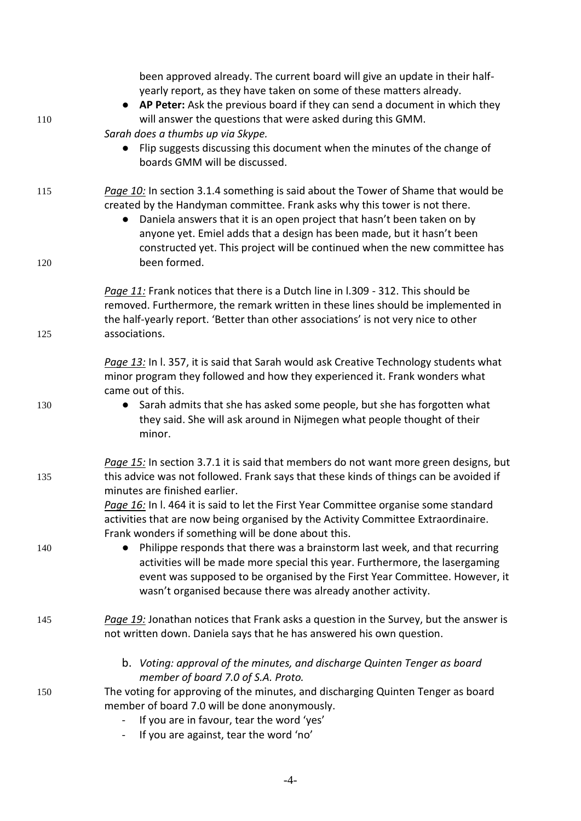| 110 | been approved already. The current board will give an update in their half-<br>yearly report, as they have taken on some of these matters already.<br>• AP Peter: Ask the previous board if they can send a document in which they<br>will answer the questions that were asked during this GMM.<br>Sarah does a thumbs up via Skype.<br>Flip suggests discussing this document when the minutes of the change of |
|-----|-------------------------------------------------------------------------------------------------------------------------------------------------------------------------------------------------------------------------------------------------------------------------------------------------------------------------------------------------------------------------------------------------------------------|
|     | boards GMM will be discussed.                                                                                                                                                                                                                                                                                                                                                                                     |
| 115 | Page 10: In section 3.1.4 something is said about the Tower of Shame that would be<br>created by the Handyman committee. Frank asks why this tower is not there.<br>Daniela answers that it is an open project that hasn't been taken on by<br>anyone yet. Emiel adds that a design has been made, but it hasn't been<br>constructed yet. This project will be continued when the new committee has               |
| 120 | been formed.                                                                                                                                                                                                                                                                                                                                                                                                      |
| 125 | Page 11: Frank notices that there is a Dutch line in I.309 - 312. This should be<br>removed. Furthermore, the remark written in these lines should be implemented in<br>the half-yearly report. 'Better than other associations' is not very nice to other<br>associations.                                                                                                                                       |
|     | Page 13: In I. 357, it is said that Sarah would ask Creative Technology students what<br>minor program they followed and how they experienced it. Frank wonders what<br>came out of this.                                                                                                                                                                                                                         |
| 130 | Sarah admits that she has asked some people, but she has forgotten what<br>they said. She will ask around in Nijmegen what people thought of their<br>minor.                                                                                                                                                                                                                                                      |
| 135 | Page 15: In section 3.7.1 it is said that members do not want more green designs, but<br>this advice was not followed. Frank says that these kinds of things can be avoided if<br>minutes are finished earlier.                                                                                                                                                                                                   |
|     | Page 16: In I. 464 it is said to let the First Year Committee organise some standard<br>activities that are now being organised by the Activity Committee Extraordinaire.<br>Frank wonders if something will be done about this.                                                                                                                                                                                  |
| 140 | Philippe responds that there was a brainstorm last week, and that recurring<br>activities will be made more special this year. Furthermore, the lasergaming<br>event was supposed to be organised by the First Year Committee. However, it<br>wasn't organised because there was already another activity.                                                                                                        |
| 145 | Page 19: Jonathan notices that Frank asks a question in the Survey, but the answer is<br>not written down. Daniela says that he has answered his own question.                                                                                                                                                                                                                                                    |
|     | b. Voting: approval of the minutes, and discharge Quinten Tenger as board<br>member of board 7.0 of S.A. Proto.                                                                                                                                                                                                                                                                                                   |
| 150 | The voting for approving of the minutes, and discharging Quinten Tenger as board<br>member of board 7.0 will be done anonymously.<br>If you are in favour, tear the word 'yes'<br>If you are against, tear the word 'no'                                                                                                                                                                                          |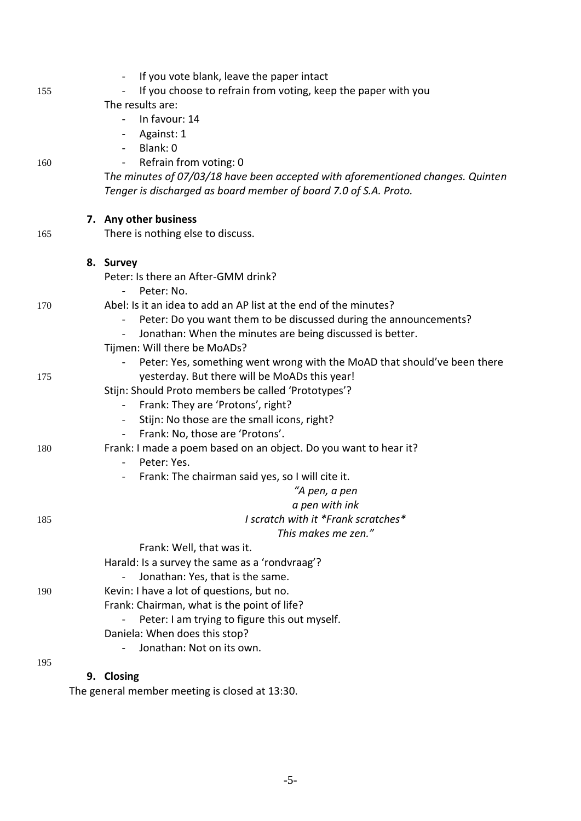|     | If you vote blank, leave the paper intact<br>$\blacksquare$                       |
|-----|-----------------------------------------------------------------------------------|
| 155 | If you choose to refrain from voting, keep the paper with you                     |
|     | The results are:                                                                  |
|     | In favour: 14                                                                     |
|     | Against: 1<br>$\blacksquare$                                                      |
|     | Blank: 0<br>$\sim$                                                                |
| 160 | Refrain from voting: 0                                                            |
|     | The minutes of 07/03/18 have been accepted with aforementioned changes. Quinten   |
|     | Tenger is discharged as board member of board 7.0 of S.A. Proto.                  |
|     | 7. Any other business                                                             |
| 165 | There is nothing else to discuss.                                                 |
|     | 8. Survey                                                                         |
|     | Peter: Is there an After-GMM drink?                                               |
|     | Peter: No.<br>$\overline{\phantom{a}}$                                            |
| 170 | Abel: Is it an idea to add an AP list at the end of the minutes?                  |
|     | Peter: Do you want them to be discussed during the announcements?                 |
|     | Jonathan: When the minutes are being discussed is better.<br>$\blacksquare$       |
|     | Tijmen: Will there be MoADs?                                                      |
|     | Peter: Yes, something went wrong with the MoAD that should've been there          |
| 175 | yesterday. But there will be MoADs this year!                                     |
|     | Stijn: Should Proto members be called 'Prototypes'?                               |
|     | Frank: They are 'Protons', right?<br>$\blacksquare$                               |
|     | Stijn: No those are the small icons, right?<br>$\sim$                             |
|     | Frank: No, those are 'Protons'.<br>$\blacksquare$                                 |
| 180 | Frank: I made a poem based on an object. Do you want to hear it?                  |
|     | Peter: Yes.<br>$\blacksquare$<br>Frank: The chairman said yes, so I will cite it. |
|     | "A pen, a pen                                                                     |
|     | a pen with ink                                                                    |
| 185 | I scratch with it *Frank scratches*                                               |
|     | This makes me zen."                                                               |
|     | Frank: Well, that was it.                                                         |
|     | Harald: Is a survey the same as a 'rondvraag'?                                    |
|     | Jonathan: Yes, that is the same.                                                  |
| 190 | Kevin: I have a lot of questions, but no.                                         |
|     | Frank: Chairman, what is the point of life?                                       |
|     | Peter: I am trying to figure this out myself.                                     |
|     | Daniela: When does this stop?                                                     |
|     | Jonathan: Not on its own.                                                         |
| 195 |                                                                                   |

# **9. Closing**

The general member meeting is closed at 13:30.